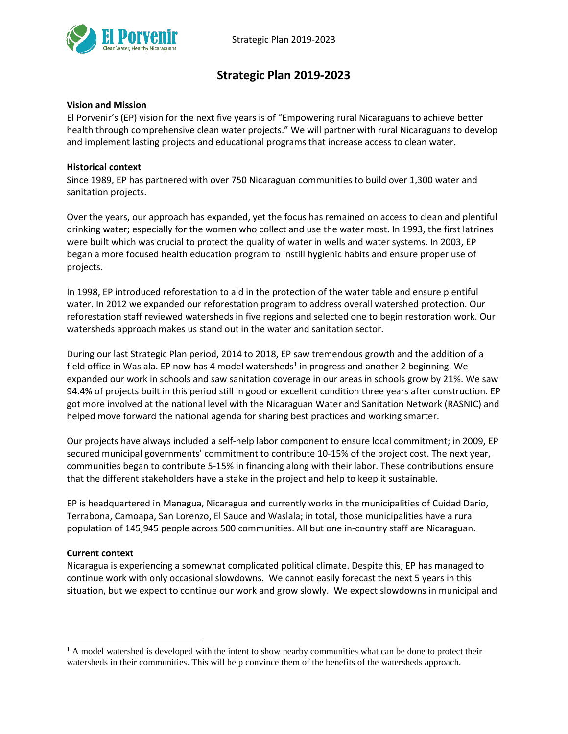

# **Strategic Plan 2019-2023**

## **Vision and Mission**

El Porvenir's (EP) vision for the next five years is of "Empowering rural Nicaraguans to achieve better health through comprehensive clean water projects." We will partner with rural Nicaraguans to develop and implement lasting projects and educational programs that increase access to clean water.

#### **Historical context**

Since 1989, EP has partnered with over 750 Nicaraguan communities to build over 1,300 water and sanitation projects.

Over the years, our approach has expanded, yet the focus has remained on access to clean and plentiful drinking water; especially for the women who collect and use the water most. In 1993, the first latrines were built which was crucial to protect the quality of water in wells and water systems. In 2003, EP began a more focused health education program to instill hygienic habits and ensure proper use of projects.

In 1998, EP introduced reforestation to aid in the protection of the water table and ensure plentiful water. In 2012 we expanded our reforestation program to address overall watershed protection. Our reforestation staff reviewed watersheds in five regions and selected one to begin restoration work. Our watersheds approach makes us stand out in the water and sanitation sector.

During our last Strategic Plan period, 2014 to 2018, EP saw tremendous growth and the addition of a field office in Waslala. EP now has 4 model watersheds<sup>1</sup> in progress and another 2 beginning. We expanded our work in schools and saw sanitation coverage in our areas in schools grow by 21%. We saw 94.4% of projects built in this period still in good or excellent condition three years after construction. EP got more involved at the national level with the Nicaraguan Water and Sanitation Network (RASNIC) and helped move forward the national agenda for sharing best practices and working smarter.

Our projects have always included a self‐help labor component to ensure local commitment; in 2009, EP secured municipal governments' commitment to contribute 10‐15% of the project cost. The next year, communities began to contribute 5‐15% in financing along with their labor. These contributions ensure that the different stakeholders have a stake in the project and help to keep it sustainable.

EP is headquartered in Managua, Nicaragua and currently works in the municipalities of Cuidad Darío, Terrabona, Camoapa, San Lorenzo, El Sauce and Waslala; in total, those municipalities have a rural population of 145,945 people across 500 communities. All but one in-country staff are Nicaraguan.

#### **Current context**

 $\overline{a}$ 

Nicaragua is experiencing a somewhat complicated political climate. Despite this, EP has managed to continue work with only occasional slowdowns. We cannot easily forecast the next 5 years in this situation, but we expect to continue our work and grow slowly. We expect slowdowns in municipal and

 $<sup>1</sup>$  A model watershed is developed with the intent to show nearby communities what can be done to protect their</sup> watersheds in their communities. This will help convince them of the benefits of the watersheds approach.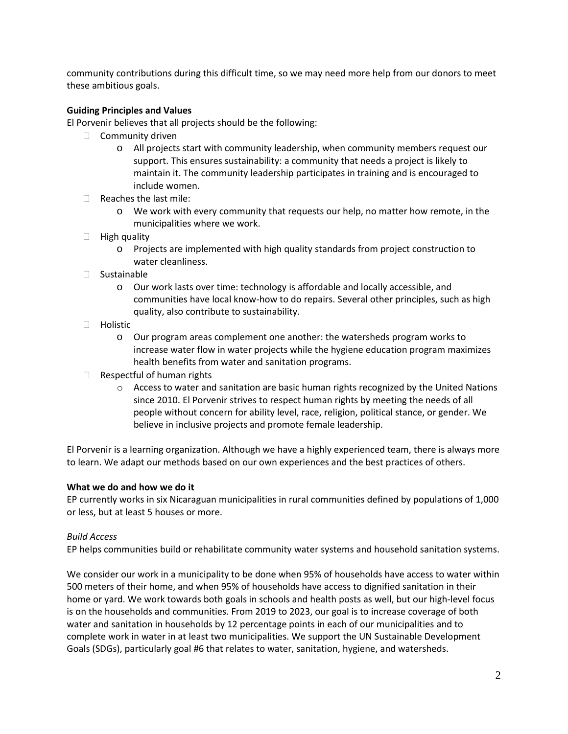community contributions during this difficult time, so we may need more help from our donors to meet these ambitious goals.

# **Guiding Principles and Values**

El Porvenir believes that all projects should be the following:

- $\Box$  Community driven
	- o All projects start with community leadership, when community members request our support. This ensures sustainability: a community that needs a project is likely to maintain it. The community leadership participates in training and is encouraged to include women.
- $\Box$  Reaches the last mile:
	- o We work with every community that requests our help, no matter how remote, in the municipalities where we work.
- $\Box$  High quality
	- o Projects are implemented with high quality standards from project construction to water cleanliness.
- Sustainable
	- o Our work lasts over time: technology is affordable and locally accessible, and communities have local know-how to do repairs. Several other principles, such as high quality, also contribute to sustainability.
- □ Holistic
	- o Our program areas complement one another: the watersheds program works to increase water flow in water projects while the hygiene education program maximizes health benefits from water and sanitation programs.
- $\Box$  Respectful of human rights
	- $\circ$  Access to water and sanitation are basic human rights recognized by the United Nations since 2010. El Porvenir strives to respect human rights by meeting the needs of all people without concern for ability level, race, religion, political stance, or gender. We believe in inclusive projects and promote female leadership.

El Porvenir is a learning organization. Although we have a highly experienced team, there is always more to learn. We adapt our methods based on our own experiences and the best practices of others.

## **What we do and how we do it**

EP currently works in six Nicaraguan municipalities in rural communities defined by populations of 1,000 or less, but at least 5 houses or more.

## *Build Access*

EP helps communities build or rehabilitate community water systems and household sanitation systems.

We consider our work in a municipality to be done when 95% of households have access to water within 500 meters of their home, and when 95% of households have access to dignified sanitation in their home or yard. We work towards both goals in schools and health posts as well, but our high-level focus is on the households and communities. From 2019 to 2023, our goal is to increase coverage of both water and sanitation in households by 12 percentage points in each of our municipalities and to complete work in water in at least two municipalities. We support the UN Sustainable Development Goals (SDGs), particularly goal #6 that relates to water, sanitation, hygiene, and watersheds.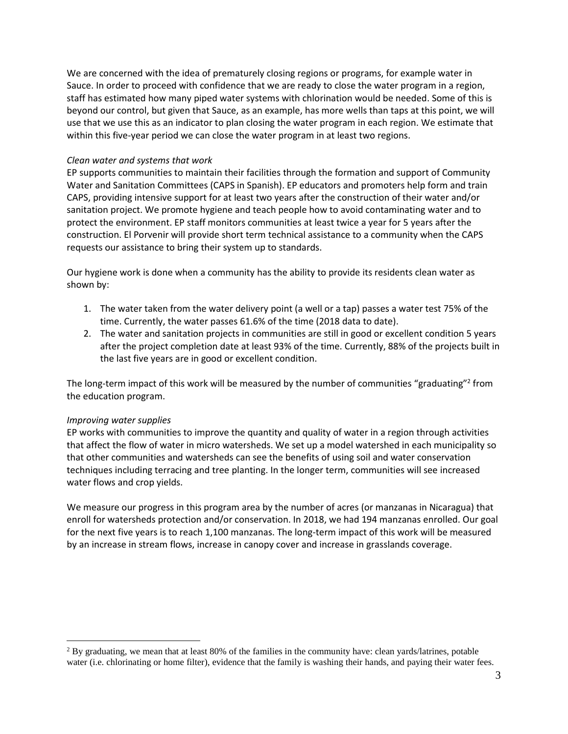We are concerned with the idea of prematurely closing regions or programs, for example water in Sauce. In order to proceed with confidence that we are ready to close the water program in a region, staff has estimated how many piped water systems with chlorination would be needed. Some of this is beyond our control, but given that Sauce, as an example, has more wells than taps at this point, we will use that we use this as an indicator to plan closing the water program in each region. We estimate that within this five-year period we can close the water program in at least two regions.

#### *Clean water and systems that work*

EP supports communities to maintain their facilities through the formation and support of Community Water and Sanitation Committees (CAPS in Spanish). EP educators and promoters help form and train CAPS, providing intensive support for at least two years after the construction of their water and/or sanitation project. We promote hygiene and teach people how to avoid contaminating water and to protect the environment. EP staff monitors communities at least twice a year for 5 years after the construction. El Porvenir will provide short term technical assistance to a community when the CAPS requests our assistance to bring their system up to standards.

Our hygiene work is done when a community has the ability to provide its residents clean water as shown by:

- 1. The water taken from the water delivery point (a well or a tap) passes a water test 75% of the time. Currently, the water passes 61.6% of the time (2018 data to date).
- 2. The water and sanitation projects in communities are still in good or excellent condition 5 years after the project completion date at least 93% of the time. Currently, 88% of the projects built in the last five years are in good or excellent condition.

The long-term impact of this work will be measured by the number of communities "graduating"<sup>2</sup> from the education program.

#### *Improving water supplies*

 $\overline{a}$ 

EP works with communities to improve the quantity and quality of water in a region through activities that affect the flow of water in micro watersheds. We set up a model watershed in each municipality so that other communities and watersheds can see the benefits of using soil and water conservation techniques including terracing and tree planting. In the longer term, communities will see increased water flows and crop yields.

We measure our progress in this program area by the number of acres (or manzanas in Nicaragua) that enroll for watersheds protection and/or conservation. In 2018, we had 194 manzanas enrolled. Our goal for the next five years is to reach 1,100 manzanas. The long-term impact of this work will be measured by an increase in stream flows, increase in canopy cover and increase in grasslands coverage.

<sup>&</sup>lt;sup>2</sup> By graduating, we mean that at least 80% of the families in the community have: clean yards/latrines, potable water (i.e. chlorinating or home filter), evidence that the family is washing their hands, and paying their water fees.